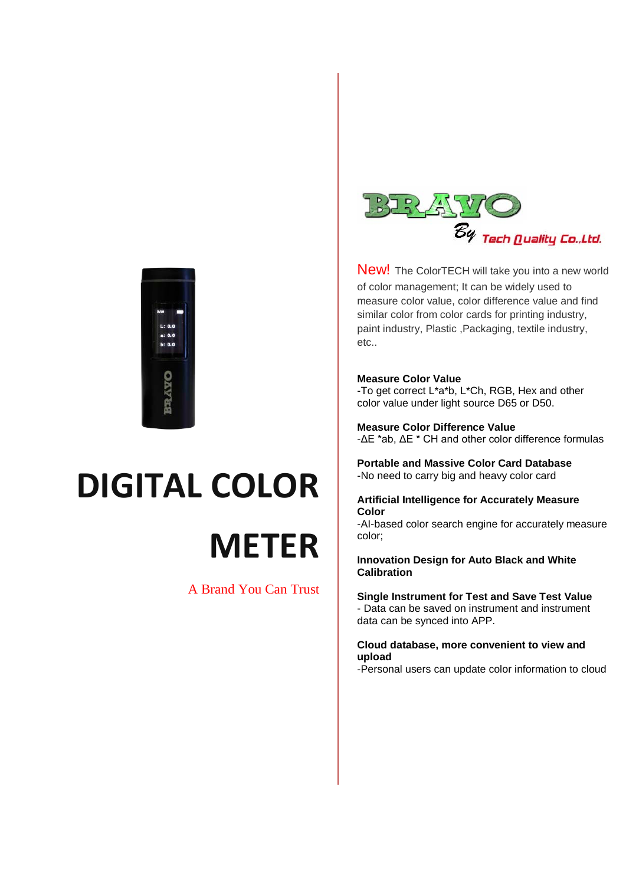

# **DIGITAL COLOR METER**

A Brand You Can Trust



New! The ColorTECH will take you into a new world of color management; It can be widely used to measure color value, color difference value and find similar color from color cards for printing industry, paint industry, Plastic ,Packaging, textile industry, etc..

#### **Measure Color Value**

-To get correct L\*a\*b, L\*Ch, RGB, Hex and other color value under light source D65 or D50.

**Measure Color Difference Value** -ΔE \*ab, ΔE \* CH and other color difference formulas

**Portable and Massive Color Card Database** -No need to carry big and heavy color card

#### **Artificial Intelligence for Accurately Measure Color**

-AI-based color search engine for accurately measure color;

**Innovation Design for Auto Black and White Calibration**

**Single Instrument for Test and Save Test Value** - Data can be saved on instrument and instrument data can be synced into APP.

#### **Cloud database, more convenient to view and upload**

-Personal users can update color information to cloud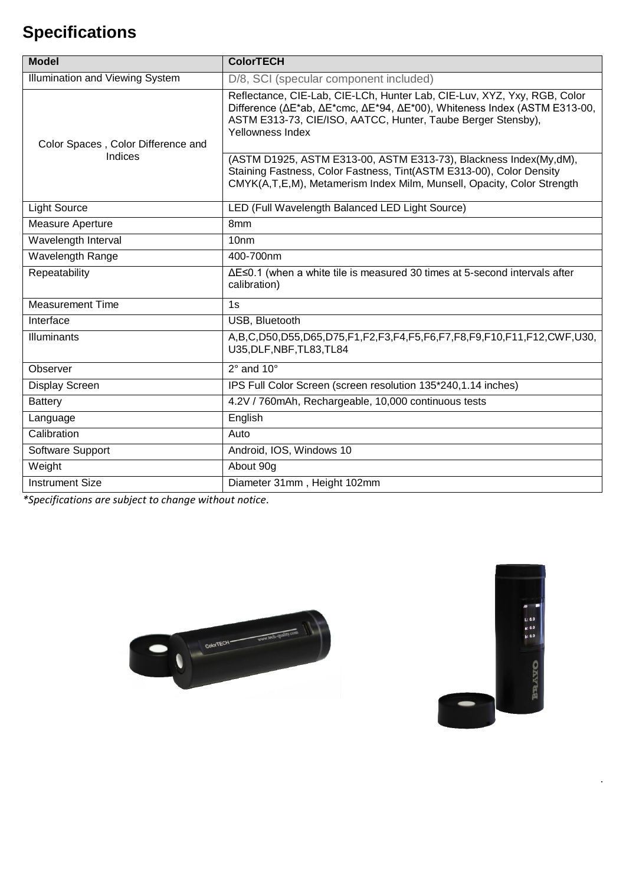## **Specifications**

| <b>Model</b>                       | <b>ColorTECH</b>                                                                                                                                                                                                                         |
|------------------------------------|------------------------------------------------------------------------------------------------------------------------------------------------------------------------------------------------------------------------------------------|
| Illumination and Viewing System    | D/8, SCI (specular component included)                                                                                                                                                                                                   |
| Color Spaces, Color Difference and | Reflectance, CIE-Lab, CIE-LCh, Hunter Lab, CIE-Luv, XYZ, Yxy, RGB, Color<br>Difference (ΔE*ab, ΔE*cmc, ΔE*94, ΔE*00), Whiteness Index (ASTM E313-00,<br>ASTM E313-73, CIE/ISO, AATCC, Hunter, Taube Berger Stensby),<br>Yellowness Index |
| Indices                            | (ASTM D1925, ASTM E313-00, ASTM E313-73), Blackness Index(My,dM),<br>Staining Fastness, Color Fastness, Tint(ASTM E313-00), Color Density<br>CMYK(A,T,E,M), Metamerism Index Milm, Munsell, Opacity, Color Strength                      |
| <b>Light Source</b>                | LED (Full Wavelength Balanced LED Light Source)                                                                                                                                                                                          |
| Measure Aperture                   | 8 <sub>mm</sub>                                                                                                                                                                                                                          |
| Wavelength Interval                | 10nm                                                                                                                                                                                                                                     |
| Wavelength Range                   | 400-700nm                                                                                                                                                                                                                                |
| Repeatability                      | $\Delta E \le 0.1$ (when a white tile is measured 30 times at 5-second intervals after<br>calibration)                                                                                                                                   |
| <b>Measurement Time</b>            | 1s                                                                                                                                                                                                                                       |
| Interface                          | USB, Bluetooth                                                                                                                                                                                                                           |
| Illuminants                        | A,B,C,D50,D55,D65,D75,F1,F2,F3,F4,F5,F6,F7,F8,F9,F10,F11,F12,CWF,U30,<br>U35, DLF, NBF, TL83, TL84                                                                                                                                       |
| Observer                           | $2^\circ$ and $10^\circ$                                                                                                                                                                                                                 |
| <b>Display Screen</b>              | IPS Full Color Screen (screen resolution 135*240,1.14 inches)                                                                                                                                                                            |
| <b>Battery</b>                     | 4.2V / 760mAh, Rechargeable, 10,000 continuous tests                                                                                                                                                                                     |
| Language                           | English                                                                                                                                                                                                                                  |
| Calibration                        | Auto                                                                                                                                                                                                                                     |
| Software Support                   | Android, IOS, Windows 10                                                                                                                                                                                                                 |
| Weight                             | About 90g                                                                                                                                                                                                                                |
| <b>Instrument Size</b>             | Diameter 31mm, Height 102mm                                                                                                                                                                                                              |

*\*Specifications are subject to change without notice*.





.